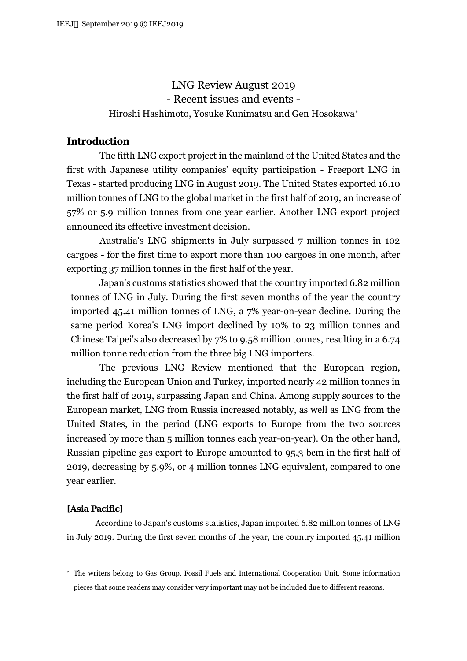LNG Review August 2019 - Recent issues and events - Hiroshi Hashimoto, Yosuke Kunimatsu and Gen Hosokawa[∗](#page-0-0)

# **Introduction**

The fifth LNG export project in the mainland of the United States and the first with Japanese utility companies' equity participation - Freeport LNG in Texas - started producing LNG in August 2019. The United States exported 16.10 million tonnes of LNG to the global market in the first half of 2019, an increase of 57% or 5.9 million tonnes from one year earlier. Another LNG export project announced its effective investment decision.

Australia's LNG shipments in July surpassed 7 million tonnes in 102 cargoes - for the first time to export more than 100 cargoes in one month, after exporting 37 million tonnes in the first half of the year.

Japan's customs statistics showed that the country imported 6.82 million tonnes of LNG in July. During the first seven months of the year the country imported 45.41 million tonnes of LNG, a 7% year-on-year decline. During the same period Korea's LNG import declined by 10% to 23 million tonnes and Chinese Taipei's also decreased by 7% to 9.58 million tonnes, resulting in a 6.74 million tonne reduction from the three big LNG importers.

The previous LNG Review mentioned that the European region, including the European Union and Turkey, imported nearly 42 million tonnes in the first half of 2019, surpassing Japan and China. Among supply sources to the European market, LNG from Russia increased notably, as well as LNG from the United States, in the period (LNG exports to Europe from the two sources increased by more than 5 million tonnes each year-on-year). On the other hand, Russian pipeline gas export to Europe amounted to 95.3 bcm in the first half of 2019, decreasing by 5.9%, or 4 million tonnes LNG equivalent, compared to one year earlier.

## **[Asia Pacific]**

According to Japan's customs statistics, Japan imported 6.82 million tonnes of LNG in July 2019. During the first seven months of the year, the country imported 45.41 million

<span id="page-0-0"></span><sup>∗</sup> The writers belong to Gas Group, Fossil Fuels and International Cooperation Unit. Some information pieces that some readers may consider very important may not be included due to different reasons.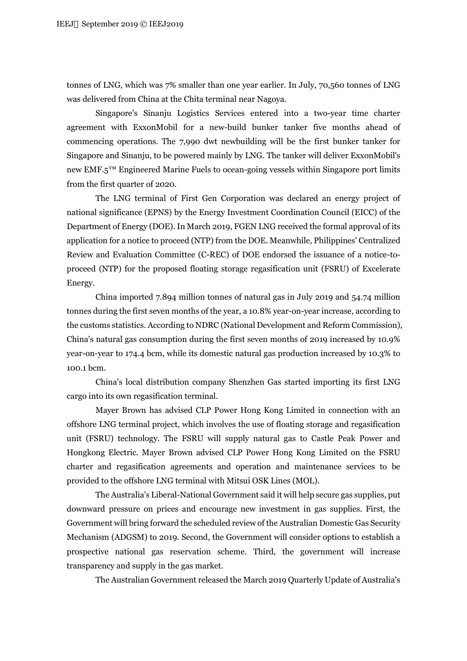tonnes of LNG, which was 7% smaller than one year earlier. In July, 70,560 tonnes of LNG was delivered from China at the Chita terminal near Nagoya.

Singapore's Sinanju Logistics Services entered into a two-year time charter agreement with ExxonMobil for a new-build bunker tanker five months ahead of commencing operations. The 7,990 dwt newbuilding will be the first bunker tanker for Singapore and Sinanju, to be powered mainly by LNG. The tanker will deliver ExxonMobil's new EMF.5™ Engineered Marine Fuels to ocean-going vessels within Singapore port limits from the first quarter of 2020.

The LNG terminal of First Gen Corporation was declared an energy project of national significance (EPNS) by the Energy Investment Coordination Council (EICC) of the Department of Energy (DOE). In March 2019, FGEN LNG received the formal approval of its application for a notice to proceed (NTP) from the DOE. Meanwhile, Philippines' Centralized Review and Evaluation Committee (C-REC) of DOE endorsed the issuance of a notice-toproceed (NTP) for the proposed floating storage regasification unit (FSRU) of Excelerate Energy.

China imported 7.894 million tonnes of natural gas in July 2019 and 54.74 million tonnes during the first seven months of the year, a 10.8% year-on-year increase, according to the customs statistics. According to NDRC (National Development and Reform Commission), China's natural gas consumption during the first seven months of 2019 increased by 10.9% year-on-year to 174.4 bcm, while its domestic natural gas production increased by 10.3% to 100.1 bcm.

China's local distribution company Shenzhen Gas started importing its first LNG cargo into its own regasification terminal.

Mayer Brown has advised CLP Power Hong Kong Limited in connection with an offshore LNG terminal project, which involves the use of floating storage and regasification unit (FSRU) technology. The FSRU will supply natural gas to Castle Peak Power and Hongkong Electric. Mayer Brown advised CLP Power Hong Kong Limited on the FSRU charter and regasification agreements and operation and maintenance services to be provided to the offshore LNG terminal with Mitsui OSK Lines (MOL).

The Australia's Liberal-National Government said it will help secure gas supplies, put downward pressure on prices and encourage new investment in gas supplies. First, the Government will bring forward the scheduled review of the Australian Domestic Gas Security Mechanism (ADGSM) to 2019. Second, the Government will consider options to establish a prospective national gas reservation scheme. Third, the government will increase transparency and supply in the gas market.

The Australian Government released the March 2019 Quarterly Update of Australia's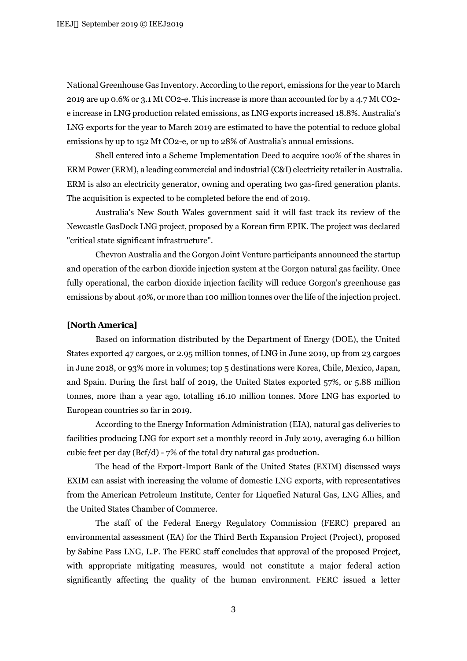National Greenhouse Gas Inventory. According to the report, emissions for the year to March 2019 are up 0.6% or 3.1 Mt CO2-e. This increase is more than accounted for by a 4.7 Mt CO2 e increase in LNG production related emissions, as LNG exports increased 18.8%. Australia's LNG exports for the year to March 2019 are estimated to have the potential to reduce global emissions by up to 152 Mt CO2-e, or up to 28% of Australia's annual emissions.

Shell entered into a Scheme Implementation Deed to acquire 100% of the shares in ERM Power (ERM), a leading commercial and industrial (C&I) electricity retailer in Australia. ERM is also an electricity generator, owning and operating two gas-fired generation plants. The acquisition is expected to be completed before the end of 2019.

Australia's New South Wales government said it will fast track its review of the Newcastle GasDock LNG project, proposed by a Korean firm EPIK. The project was declared "critical state significant infrastructure".

Chevron Australia and the Gorgon Joint Venture participants announced the startup and operation of the carbon dioxide injection system at the Gorgon natural gas facility. Once fully operational, the carbon dioxide injection facility will reduce Gorgon's greenhouse gas emissions by about 40%, or more than 100 million tonnes over the life of the injection project.

#### **[North America]**

Based on information distributed by the Department of Energy (DOE), the United States exported 47 cargoes, or 2.95 million tonnes, of LNG in June 2019, up from 23 cargoes in June 2018, or 93% more in volumes; top 5 destinations were Korea, Chile, Mexico, Japan, and Spain. During the first half of 2019, the United States exported 57%, or 5.88 million tonnes, more than a year ago, totalling 16.10 million tonnes. More LNG has exported to European countries so far in 2019.

According to the Energy Information Administration (EIA), natural gas deliveries to facilities producing LNG for export set a monthly record in July 2019, averaging 6.0 billion cubic feet per day (Bcf/d) - 7% of the total dry natural gas production.

The head of the Export-Import Bank of the United States (EXIM) discussed ways EXIM can assist with increasing the volume of domestic LNG exports, with representatives from the American Petroleum Institute, Center for Liquefied Natural Gas, LNG Allies, and the United States Chamber of Commerce.

The staff of the Federal Energy Regulatory Commission (FERC) prepared an environmental assessment (EA) for the Third Berth Expansion Project (Project), proposed by Sabine Pass LNG, L.P. The FERC staff concludes that approval of the proposed Project, with appropriate mitigating measures, would not constitute a major federal action significantly affecting the quality of the human environment. FERC issued a letter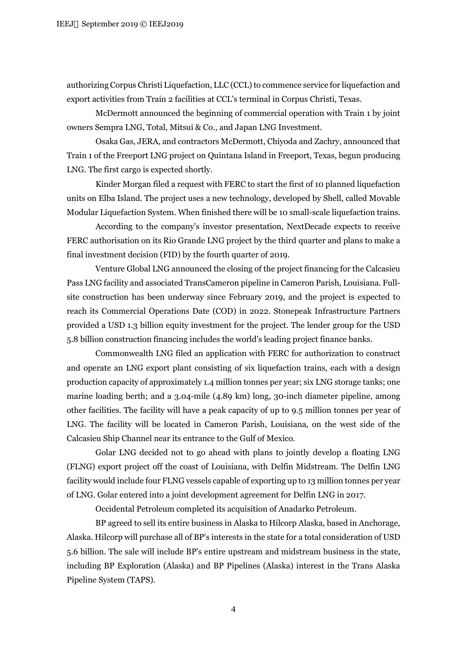authorizing Corpus Christi Liquefaction, LLC (CCL) to commence service for liquefaction and export activities from Train 2 facilities at CCL's terminal in Corpus Christi, Texas.

McDermott announced the beginning of commercial operation with Train 1 by joint owners Sempra LNG, Total, Mitsui & Co., and Japan LNG Investment.

Osaka Gas, JERA, and contractors McDermott, Chiyoda and Zachry, announced that Train 1 of the Freeport LNG project on Quintana Island in Freeport, Texas, begun producing LNG. The first cargo is expected shortly.

Kinder Morgan filed a request with FERC to start the first of 10 planned liquefaction units on Elba Island. The project uses a new technology, developed by Shell, called Movable Modular Liquefaction System. When finished there will be 10 small-scale liquefaction trains.

According to the company's investor presentation, NextDecade expects to receive FERC authorisation on its Rio Grande LNG project by the third quarter and plans to make a final investment decision (FID) by the fourth quarter of 2019.

Venture Global LNG announced the closing of the project financing for the Calcasieu Pass LNG facility and associated TransCameron pipeline in Cameron Parish, Louisiana. Fullsite construction has been underway since February 2019, and the project is expected to reach its Commercial Operations Date (COD) in 2022. Stonepeak Infrastructure Partners provided a USD 1.3 billion equity investment for the project. The lender group for the USD 5.8 billion construction financing includes the world's leading project finance banks.

Commonwealth LNG filed an application with FERC for authorization to construct and operate an LNG export plant consisting of six liquefaction trains, each with a design production capacity of approximately 1.4 million tonnes per year; six LNG storage tanks; one marine loading berth; and a 3.04-mile (4.89 km) long, 30-inch diameter pipeline, among other facilities. The facility will have a peak capacity of up to 9.5 million tonnes per year of LNG. The facility will be located in Cameron Parish, Louisiana, on the west side of the Calcasieu Ship Channel near its entrance to the Gulf of Mexico.

Golar LNG decided not to go ahead with plans to jointly develop a floating LNG (FLNG) export project off the coast of Louisiana, with Delfin Midstream. The Delfin LNG facility would include four FLNG vessels capable of exporting up to 13 million tonnes per year of LNG. Golar entered into a joint development agreement for Delfin LNG in 2017.

Occidental Petroleum completed its acquisition of Anadarko Petroleum.

BP agreed to sell its entire business in Alaska to Hilcorp Alaska, based in Anchorage, Alaska. Hilcorp will purchase all of BP's interests in the state for a total consideration of USD 5.6 billion. The sale will include BP's entire upstream and midstream business in the state, including BP Exploration (Alaska) and BP Pipelines (Alaska) interest in the Trans Alaska Pipeline System (TAPS).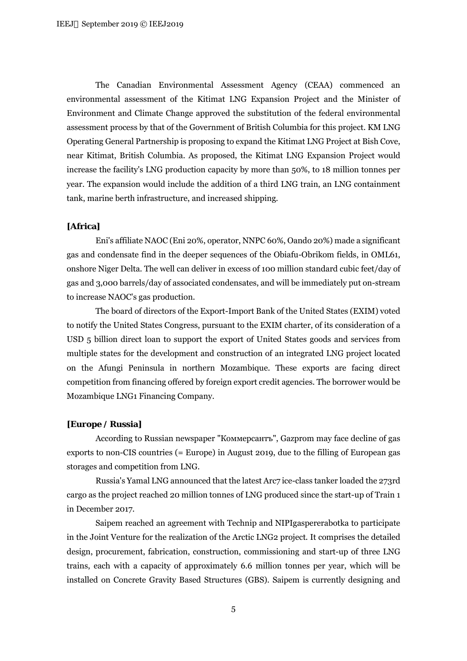The Canadian Environmental Assessment Agency (CEAA) commenced an environmental assessment of the Kitimat LNG Expansion Project and the Minister of Environment and Climate Change approved the substitution of the federal environmental assessment process by that of the Government of British Columbia for this project. KM LNG Operating General Partnership is proposing to expand the Kitimat LNG Project at Bish Cove, near Kitimat, British Columbia. As proposed, the Kitimat LNG Expansion Project would increase the facility's LNG production capacity by more than 50%, to 18 million tonnes per year. The expansion would include the addition of a third LNG train, an LNG containment tank, marine berth infrastructure, and increased shipping.

#### **[Africa]**

Eni's affiliate NAOC (Eni 20%, operator, NNPC 60%, Oando 20%) made a significant gas and condensate find in the deeper sequences of the Obiafu-Obrikom fields, in OML61, onshore Niger Delta. The well can deliver in excess of 100 million standard cubic feet/day of gas and 3,000 barrels/day of associated condensates, and will be immediately put on-stream to increase NAOC's gas production.

The board of directors of the Export-Import Bank of the United States (EXIM) voted to notify the United States Congress, pursuant to the EXIM charter, of its consideration of a USD 5 billion direct loan to support the export of United States goods and services from multiple states for the development and construction of an integrated LNG project located on the Afungi Peninsula in northern Mozambique. These exports are facing direct competition from financing offered by foreign export credit agencies. The borrower would be Mozambique LNG1 Financing Company.

### **[Europe / Russia]**

According to Russian newspaper "Коммерсантъ", Gazprom may face decline of gas exports to non-CIS countries (= Europe) in August 2019, due to the filling of European gas storages and competition from LNG.

Russia's Yamal LNG announced that the latest Arc7 ice-class tanker loaded the 273rd cargo as the project reached 20 million tonnes of LNG produced since the start-up of Train 1 in December 2017.

Saipem reached an agreement with Technip and NIPIgaspererabotka to participate in the Joint Venture for the realization of the Arctic LNG2 project. It comprises the detailed design, procurement, fabrication, construction, commissioning and start-up of three LNG trains, each with a capacity of approximately 6.6 million tonnes per year, which will be installed on Concrete Gravity Based Structures (GBS). Saipem is currently designing and